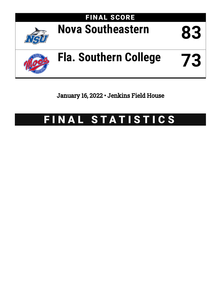

January 16, 2022 • Jenkins Field House

# FINAL STATISTICS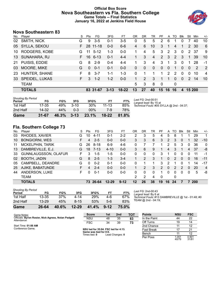## **Official Box Score Nova Southeastern vs Fla. Southern College Game Totals -- Final Statistics January 16, 2022 at Jenkins Field House**



## **Nova Southeastern 83**

| No. | Player               | S  | Pts      | FG        | 3FG      | FT.     | 0R       | <b>DR</b>    | TR             | PF          |                | A TO         | <b>Blk</b> | Stl         | Min | $+/-$          |
|-----|----------------------|----|----------|-----------|----------|---------|----------|--------------|----------------|-------------|----------------|--------------|------------|-------------|-----|----------------|
| 02  | SMITH, NICK          | G  | 9        | $3-5$     | 0-1      | 3-5     | 0        | 5            | 5              | 2           | 6              |              | O          |             | 40  | 10             |
| 05  | SYLLA, SEKOU         | F. | 28       | $11 - 18$ | $0 - 0$  | $6-6$   | 4        | 6            | 10             | 3           | 1              | 4            |            | 2           | 30  | 6              |
| 10  | <b>RODGERS, KOBE</b> | G  | 11       | $5 - 12$  | $1 - 3$  | $0 - 0$ |          | 4            | 5              | 3           | $\overline{2}$ | 3            | $\Omega$   | $2^{\circ}$ | -37 | 9              |
| 13  | SUNAHARA, RJ         | F. | 16       | $6 - 13$  | $0 - 1$  | $4 - 4$ | 1.       | 3            | $\overline{4}$ | 2           | 3              | 2            | 3          | $\mathbf 1$ | 39  | 10             |
| 21  | PUISIS, EDDIE        | G  | 8        | $2 - 9$   | $0 - 4$  | $4 - 4$ |          | 3            | 4              | 3           | 1              | 3            | $\Omega$   | 1           | 28  | -1             |
| 03  | MOORE, MIKE          | G  | $\Omega$ | $0 - 1$   | $0 - 1$  | $0 - 0$ | $\Omega$ | $\mathbf{0}$ | $\Omega$       | $\Omega$    | $\Omega$       | 1            | $\Omega$   | $\Omega$    | 2   | $\overline{2}$ |
| 23  | HUNTER, SHANE        | F  | 8        | $3 - 7$   | 1-1      | $1 - 3$ | $\Omega$ |              |                | 1           | 2              | 2            | $\Omega$   | $\Omega$    | 10  | $\overline{4}$ |
|     | 33 SPEIDEL, LUKAS    | F. | 3        | $1 - 2$   | $1 - 2$  | $0 - 0$ | 1.       | 2            | 3              | 1           |                | 0            | $\Omega$   | 2           | 14  | 10             |
|     | <b>TEAM</b>          |    |          |           |          |         | 5        | 3            | 8              | $\mathbf 0$ |                | $\mathbf{0}$ |            |             |     |                |
|     | <b>TOTALS</b>        |    |          | 83 31-67  | $3 - 13$ | $18-22$ | 13       | 27           | 40             | 15          | 16             | 16           | 4          | 15 200      |     |                |
|     |                      |    |          |           |          |         |          |              |                |             |                |              |            |             |     |                |

| <b>Shooting By Period</b><br>Period | FG        | FG%   | 3FG      | 3FG%            | FТ        | FT%   |
|-------------------------------------|-----------|-------|----------|-----------------|-----------|-------|
| 1st Half                            | 17-35     | 49%   | $3 - 10$ | 30 <sup>%</sup> | $11 - 13$ | 85%   |
| 2nd Half                            | 14.32     | 44%   | $0 - 3$  | $00\%$          | 7-9       | 78%   |
| Game                                | $31 - 67$ | 46.3% | $3 - 13$ | 23.1%           | $18 - 22$ | 81.8% |

*Last FG:* 2nd-00:51 *Largest lead:* By 15 at *Technical Fouls:* #05 SYLLA @ 2nd - 04:37;

## **Fla. Southern College 73**

| No. | -<br>Plaver                 | S  | Pts | FG       | 3FG       | FT.      | OR      | DR       | TR       | PF            | A        | TO | Blk           | Stl      | Min        | $+/-$          |
|-----|-----------------------------|----|-----|----------|-----------|----------|---------|----------|----------|---------------|----------|----|---------------|----------|------------|----------------|
| 03  | RHODES, XAVIER              | G  | 10  | $4 - 11$ | $0 - 1$   | $2 - 2$  | 2       | 3        | 5        | 4             | 5        | 8  |               |          | 29         | 1              |
| 10  | <b>BONGIORNI, WES</b>       | F  | 4   | $2 - 5$  | $0 - 0$   | $0 - 0$  | 3       | 3        | 6        | 3             | 2        | 3  | $\mathbf{0}$  |          | 32         | $-10$          |
| 11  | <b>MCKELPHIN, TARIK</b>     | G  | 26  | $8 - 18$ | $6-9$     | $4-6$    | 0       |          |          |               | 2        | 5  | 3             | $\Omega$ | 36         | 0              |
| 13  | DAMBREVILLE, E.J.           | G  | 18  | $7 - 13$ | $4 - 10$  | $0 - 0$  | 3       | 6        | 9        | 1             | 4        | 3  |               | 4        | 37         | -8             |
| 33  | <b>GUNNLAUGSSON, OLAFUR</b> | F. | 3   | $1 - 5$  | $1-5$     | $0 - 0$  | 0       | 0        | $\Omega$ | 3             | 1        | 0  | $\Omega$      | 0        | 11         | -1             |
| 02  | <b>BOOTH, JADIN</b>         | G  | 8   | $2 - 5$  | $1 - 3$   | $3 - 4$  |         | 2        | 3        |               | $\Omega$ | 2  | $\Omega$      | $\Omega$ | 16         | $-11$          |
| 05  | CAMPBELL, DEANDRE           | G  | 0   | $0 - 2$  | $0 - 1$   | $0 - 0$  | 0       |          |          | 3             | 2        |    | $\Omega$      |          | 14         | $-17$          |
| 25  | AJIKE, BABATUNDE            | F. | 4   | $2 - 4$  | $0 - 0$   | $0 - 0$  |         | 2        | 3        | $\mathcal{P}$ | $\Omega$ | 2  | $\mathcal{P}$ | $\Omega$ | 20         | $\overline{4}$ |
| 44  | ANDERSON, LUKE              | F. | 0   | $0 - 1$  | $0 - 0$   | $0 - 0$  | 0       | $\Omega$ | $\Omega$ |               | $\Omega$ | 0  | $\Omega$      | 0        | 5          | -8             |
|     | <b>TEAM</b>                 |    |     |          |           |          | 2       | 2        | 4        | $\Omega$      |          | 0  |               |          |            |                |
|     | <b>TOTALS</b>               |    |     | 73 26-64 | $12 - 29$ | $9 - 12$ | $12 \,$ | 26       | 38       | 19            | 16       | 24 |               |          | <b>200</b> |                |
|     |                             |    |     |          |           |          |         |          |          |               |          |    |               |          |            |                |

| <b>Shooting By Period</b> |           |       |           |            |          |       |
|---------------------------|-----------|-------|-----------|------------|----------|-------|
| Period                    | FG        | FG%   | 3FG       | 3FG%       | FТ       | FT%   |
| 1st Half                  | 13-35     | 37%   | 4-14      | <b>29%</b> | 4-6      | 67%   |
| 2nd Half                  | $13 - 29$ | 45%   | $8 - 15$  | 53%        | 5-6      | 83%   |
| Game                      | 26-64     | 40.6% | $12 - 29$ | 41.4%      | $9 - 12$ | 75.0% |

*Last FG:* 2nd-00:43 *Largest lead:* By 6 at *Technical Fouls:* #13 DAMBREVILLE @ 1st - 01:48; #0 TEAM @ 2nd - 04:19;

| Game Notes:                                                        | <b>Score</b>                            | 1st | 2 <sub>nd</sub> | тот | <b>Points</b>     | <b>NSU</b>     | <b>FSC</b>     |
|--------------------------------------------------------------------|-----------------------------------------|-----|-----------------|-----|-------------------|----------------|----------------|
| Officials: Byron Rosier, Nick Agress, Nolan Padgett<br>Attendance: | <b>NSU</b>                              | 48  | 35              | 83  | In the Paint      | 44             | 22             |
|                                                                    | <b>FSC</b>                              | 34  | 39              | 73  | Off Turns         | 19             | 14             |
| Start Time: 01:00 AM                                               |                                         |     |                 |     | 2nd Chance        |                | 12             |
| Conference Game:                                                   | NSU led for 35:04. FSC led for 4:13.    |     |                 |     | <b>Fast Break</b> |                | 21             |
|                                                                    | Game was tied for 0:0.<br>Times tied: 0 |     | Lead Changes: 0 |     | Bench             |                | 12             |
|                                                                    |                                         |     |                 |     | Per Poss          | 1.051<br>40/79 | 0.901<br>31/81 |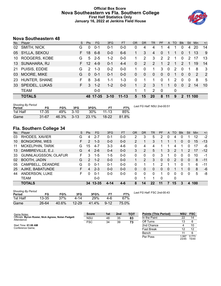### **Official Box Score Nova Southeastern vs Fla. Southern College First Half Statistics Only January 16, 2022 at Jenkins Field House**



# **Nova Southeastern 48**

| No. | Player                | S  | <b>Pts</b>    | <b>FG</b> | 3FG      | <b>FT</b> | <b>OR</b> | <b>DR</b>    | TR           | PF            | A             | TO          | <b>BIK</b>    | Stl            | Min    | $+/-$          |
|-----|-----------------------|----|---------------|-----------|----------|-----------|-----------|--------------|--------------|---------------|---------------|-------------|---------------|----------------|--------|----------------|
| 02  | SMITH, NICK           | G  | $\Omega$      | $0 - 1$   | $0 - 1$  | $0 - 0$   | 0         | 4            | 4            |               | 4             |             | 0             | 4              | 20     | 14             |
| 05  | SYLLA, SEKOU          | F. | 18            | $6 - 8$   | $0-0$    | $6-6$     |           | 3            | 4            | 0             |               |             | 0             |                | 13     | 9              |
| 10  | RODGERS, KOBE         | G  | $5^{\circ}$   | $2 - 5$   | $1 - 2$  | $0 - 0$   |           | 2            | 3            | $\mathcal{P}$ | $\mathcal{P}$ |             | $\Omega$      | $\mathcal{P}$  | 17     | 13             |
| 13  | SUNAHARA, RJ          | F. | 12            | $4-9$     | $0 - 1$  | $4 - 4$   | $\Omega$  | 2            | 2            | 1             | $\mathcal{P}$ | 1           | $\mathcal{P}$ | 1              | 19     | 14             |
| 21  | PUISIS, EDDIE         | G  | $\mathcal{P}$ | $1 - 3$   | $0 - 2$  | $0 - 0$   |           | 0            | 1.           | 3             | $\mathbf{0}$  | 2           | $\mathbf 0$   | 1              | 8      | -3             |
| 03  | MOORE, MIKE           | G  | $\Omega$      | $0 - 1$   | $0 - 1$  | $0-0$     | $\Omega$  | $\mathbf{0}$ | $\mathbf{0}$ | $\Omega$      | $\mathbf{0}$  | 1           | $\mathbf{0}$  | $\overline{0}$ | 2      | $\overline{2}$ |
| 23  | HUNTER, SHANE         | F. | 8             | $3-6$     | 1-1      | $1 - 3$   | 0         | 1            | 1            | $\Omega$      | 1             | 2           | $\Omega$      | $\Omega$       | 8      | 5              |
| 33  | <b>SPEIDEL, LUKAS</b> | F. | 3             | $1 - 2$   | $1 - 2$  | $0 - 0$   |           | 2            | 3            | 1             |               | $\Omega$    | $\Omega$      | $\mathcal{P}$  | 14     | 10             |
|     | <b>TEAM</b>           |    |               | $0 - 0$   |          |           |           | 1            | 2            | $\mathbf 0$   |               | $\mathbf 0$ |               |                |        |                |
|     | <b>TOTALS</b>         |    |               | 48 17-35  | $3 - 10$ | $11 - 13$ | 5         | 15           | <b>20</b>    | 8             | 11            | 9           | $\mathbf{P}$  |                | 11 100 |                |

| <b>Shooting By Period</b><br>Period | FG        | FG%   | 3FG      | 3FG%   |           | FT%   | Last FG Half: NSU 2nd-00:51 |
|-------------------------------------|-----------|-------|----------|--------|-----------|-------|-----------------------------|
| 1st Half                            | 17-35     | 49%   | $3-10$   | $30\%$ | $11 - 13$ | 85%   |                             |
| Game                                | $31 - 67$ | 46.3% | $3 - 13$ | 23.1%  | $18-22$   | 81.8% |                             |

# **Fla. Southern College 34**

| No. | -<br>Plaver                 | S. | <b>Pts</b>    | FG        | 3FG     | <b>FT</b> | <b>OR</b> | <b>DR</b> | TR       | PF       | A | TO | <b>Blk</b> | Stl      | Min | $+/-$ |
|-----|-----------------------------|----|---------------|-----------|---------|-----------|-----------|-----------|----------|----------|---|----|------------|----------|-----|-------|
| 03  | RHODES, XAVIER              | G  | 4             | $2 - 7$   | $0 - 1$ | $0 - 0$   | 2         | 3         | 5        | 2        | 0 | 4  |            |          | 12  | $-2$  |
| 10  | <b>BONGIORNI, WES</b>       | F  | 2             | $1 - 3$   | $0 - 0$ | $0 - 0$   | 2         |           | 3        |          |   |    | 0          | $\Omega$ | 15  | $-13$ |
| 11  | <b>MCKELPHIN, TARIK</b>     | G  | 15            | $4 - 7$   | $3-3$   | $4-6$     | 0         | 4         | 4        |          |   | 4  |            | n        | 17  | -6    |
| 13  | DAMBREVILLE, E.J.           | G  | 4             | $2 - 6$   | $0 - 4$ | $0 - 0$   | 3         | 2         | 5        |          | 3 | 2  |            | 2        | 17  | $-12$ |
| 33  | <b>GUNNLAUGSSON, OLAFUR</b> | F  | 3             | $1 - 5$   | 1-5     | $0 - 0$   | 0         | 0         | 0        | 3        |   | 0  | 0          | 0        | 10  | -1    |
| 02  | <b>BOOTH, JADIN</b>         | G  | $\mathcal{P}$ | $1 - 2$   | $0 - 0$ | $0 - 0$   |           | 2         | 3        | $\Omega$ | 0 | 2  | $\Omega$   | 0        | 8   | $-11$ |
| 05  | CAMPBELL, DEANDRE           | G  | $\Omega$      | $0 - 1$   | $0 - 1$ | $0 - 0$   | 0         |           |          | 2        |   |    | 0          |          | 6   | $-11$ |
| 25  | AJIKE, BABATUNDE            | F. | 4             | $2 - 3$   | $0 - 0$ | $0 - 0$   | 0         | 0         | 0        | 0        | 0 |    |            | 0        | 8   | -6    |
| 44  | ANDERSON, LUKE              | F  | 0             | $0 - 1$   | $0 - 0$ | $0 - 0$   | 0         | 0         | $\Omega$ |          | 0 | 0  | 0          | 0        | 5   | -8    |
|     | <b>TEAM</b>                 |    |               | $0 - 0$   |         |           | 0         |           |          | $\Omega$ |   | 0  |            |          |     |       |
|     | <b>TOTALS</b>               |    | 34            | $13 - 35$ | 4-14    | $4 - 6$   | 8         | 14        | 22       | 11       |   | 15 | 3          | 4        | 100 |       |

| <b>Shooting By Period</b><br>Period | FG        | FG%   | 3FG       | 3FG%  | FТ       | FT%   |
|-------------------------------------|-----------|-------|-----------|-------|----------|-------|
| 1st Half                            | $13 - 35$ | 37%   | 4-14      | 29%   | 4-6      | 67%   |
| Game                                | 26-64     | 40.6% | $12 - 29$ | 41.4% | $9 - 12$ | 75.0% |

*Last FG Half:* FSC 2nd-00:43

| Game Notes:                                                        | <b>Score</b> | 1st | 2 <sub>nd</sub> | <b>TOT</b> | <b>Points (This Period)</b> | <b>NSU</b>    | <b>FSC</b>     |
|--------------------------------------------------------------------|--------------|-----|-----------------|------------|-----------------------------|---------------|----------------|
| Officials: Byron Rosier, Nick Agress, Nolan Padgett<br>Attendance: | <b>NSU</b>   | 48  | 35              | 83         | In the Paint                | 22            | 14             |
|                                                                    | <b>FSC</b>   | 34  | 39              | 73         | Off Turns                   | 13            |                |
| Start Time: 01:00 AM                                               |              |     |                 |            | 2nd Chance                  |               | 10             |
| Conference Game:                                                   |              |     |                 |            | <b>Fast Break</b>           |               | 12             |
|                                                                    |              |     |                 |            | Bench                       |               |                |
|                                                                    |              |     |                 |            | Per Poss                    | .067<br>23/45 | 0.773<br>15/44 |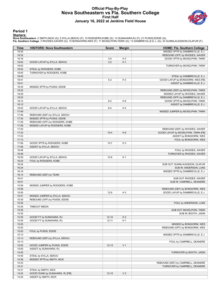#### **Official Play-By-Play Nova Southeastern vs Fla. Southern College First Half January 16, 2022 at Jenkins Field House**



#### **Period 1**

#### **Starters:**

| Time           | <b>VISITORS: Nova Southeastern</b> | <b>Score</b> | <b>Margin</b>  | <b>HOME: Fla. Southern College</b>                                   |
|----------------|------------------------------------|--------------|----------------|----------------------------------------------------------------------|
| 19:35          |                                    |              |                | MISSED 3PTR by DAMBREVILLE, E.J.                                     |
| 19:32          |                                    |              |                | REBOUND (OFF) by RHODES, XAVIER                                      |
| 19:18          |                                    | $3-0$        | $H_3$          | GOOD! 3PTR by MCKELPHIN, TARIK                                       |
| 19:00          | GOOD! LAYUP by SYLLA, SEKOU        | $3-2$        | H <sub>1</sub> |                                                                      |
| 18:52          |                                    |              |                | TURNOVER by MCKELPHIN, TARIK                                         |
| 18:52          | STEAL by RODGERS, KOBE             |              |                |                                                                      |
| 18:45          | TURNOVER by RODGERS, KOBE          |              |                |                                                                      |
| 18:45          |                                    |              |                | STEAL by DAMBREVILLE, E.J.                                           |
| 18:41          |                                    | $5-2$        | H <sub>3</sub> | GOOD! LAYUP by BONGIORNI, WES [FB]                                   |
| 18:41          |                                    |              |                | ASSIST by DAMBREVILLE, E.J.                                          |
| 18:35          | MISSED 3PTR by PUISIS, EDDIE       |              |                |                                                                      |
| 18:32          |                                    |              |                | REBOUND (DEF) by MCKELPHIN, TARIK                                    |
| 18:29<br>18:23 |                                    |              |                | MISSED LAYUP by RHODES, XAVIER<br>REBOUND (OFF) by DAMBREVILLE, E.J. |
| 18:12          |                                    | $8 - 2$      | H <sub>6</sub> | GOOD! 3PTR by MCKELPHIN, TARIK                                       |
| 18:12          |                                    |              |                | ASSIST by DAMBREVILLE, E.J.                                          |
| 18:03          | GOOD! LAYUP by SYLLA, SEKOU        | $8 - 4$      | H4             |                                                                      |
| 17:49          |                                    |              |                | MISSED JUMPER by MCKELPHIN, TARIK                                    |
| 17:46          | REBOUND (DEF) by SYLLA, SEKOU      |              |                |                                                                      |
| 17:34          | MISSED 3PTR by PUISIS, EDDIE       |              |                |                                                                      |
| 17:29          | REBOUND (OFF) by RODGERS, KOBE     |              |                |                                                                      |
| 17:28          | MISSED LAYUP by RODGERS, KOBE      |              |                |                                                                      |
| 17:25          |                                    |              |                | REBOUND (DEF) by RHODES, XAVIER                                      |
| 17:23          |                                    | $10 - 4$     | H <sub>6</sub> | GOOD! LAYUP by MCKELPHIN, TARIK [FB]                                 |
| 17:23          |                                    |              |                | ASSIST by BONGIORNI, WES                                             |
| 17:13          |                                    |              |                | FOUL by BONGIORNI, WES                                               |
| 17:06          | GOOD! 3PTR by RODGERS, KOBE        | $10 - 7$     | $H_3$          |                                                                      |
| 17:06          | ASSIST by SYLLA, SEKOU             |              |                |                                                                      |
| 16:48          |                                    |              |                | FOUL by RHODES, XAVIER                                               |
| 16:48          |                                    |              |                | TURNOVER by RHODES, XAVIER                                           |
| 16:29          | GOOD! LAYUP by SYLLA, SEKOU        | $10-9$       | H <sub>1</sub> |                                                                      |
| 16:24          | FOUL by RODGERS, KOBE              |              |                |                                                                      |
| 16:24<br>16:24 |                                    |              |                | SUB OUT: GUNNLAUGSSON, OLAFUR<br>SUB IN: ANDERSON, LUKE              |
| 16:16          |                                    |              |                | MISSED 3PTR by DAMBREVILLE, E.J.                                     |
| 16:14          | REBOUND (DEF) by TEAM              |              |                |                                                                      |
| 16:01          |                                    |              |                | SUB OUT: RHODES, XAVIER                                              |
| 16:01          |                                    |              |                | SUB IN: CAMPBELL, DEANDRE                                            |
| 15:59          | MISSED JUMPER by RODGERS, KOBE     |              |                |                                                                      |
| 15:56          |                                    |              |                | REBOUND (DEF) by BONGIORNI, WES                                      |
| 15:50          |                                    | $12-9$       | H <sub>3</sub> | GOOD! LAYUP by DAMBREVILLE, E.J.                                     |
| 15:41          | MISSED JUMPER by SYLLA, SEKOU      |              |                |                                                                      |
| 15:35          | REBOUND (OFF) by PUISIS, EDDIE     |              |                |                                                                      |
| 15:35          |                                    |              |                | FOUL by ANDERSON, LUKE                                               |
| 15:35          | <b>TIMEOUT MEDIA</b>               |              |                |                                                                      |
| 15:35          |                                    |              |                | SUB OUT: MCKELPHIN, TARIK                                            |
| 15:35          |                                    |              |                | SUB IN: BOOTH, JADIN                                                 |
| 15:35          | GOOD! FT by SUNAHARA, RJ           | $12 - 10$    | H <sub>2</sub> |                                                                      |
| 15:35          | GOOD! FT by SUNAHARA, RJ           | $12 - 11$    | H <sub>1</sub> |                                                                      |
| 15:20          |                                    |              |                | MISSED by BONGIORNI, WES                                             |
| 15:20<br>15:20 | FOUL by PUISIS, EDDIE              |              |                | REBOUND (OFF) by BONGIORNI, WES                                      |
| 15:13          |                                    |              |                | MISSED 3PTR by DAMBREVILLE, E.J.                                     |
| 15:13          | REBOUND (DEF) by SYLLA, SEKOU      |              |                |                                                                      |
| 15:13          |                                    |              |                | FOUL by CAMPBELL, DEANDRE                                            |
| 15:05          | GOOD! JUMPER by PUISIS, EDDIE      | $12 - 13$    | V <sub>1</sub> |                                                                      |
| 15:05          | ASSIST by SUNAHARA, RJ             |              |                |                                                                      |
| 14:45          |                                    |              |                | TURNOVER by BOOTH, JADIN                                             |
| 14:45          | STEAL by SYLLA, SEKOU              |              |                |                                                                      |
| 14:38          | MISSED 3PTR by SMITH, NICK         |              |                |                                                                      |
| 14:33          |                                    |              |                | REBOUND (DEF) by CAMPBELL, DEANDRE                                   |
| 14:31          |                                    |              |                | TURNOVER by CAMPBELL, DEANDRE                                        |
| 14:31          | STEAL by SMITH, NICK               |              |                |                                                                      |
| 14:24          | GOOD! DUNK by SUNAHARA, RJ [FB]    | $12 - 15$    | $V_3$          |                                                                      |
| 14:24          | ASSIST by SMITH, NICK              |              |                |                                                                      |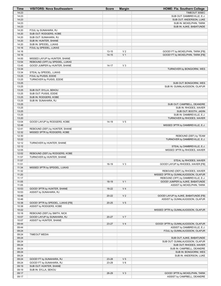| Time  | <b>VISITORS: Nova Southeastern</b> | <b>Score</b> | <b>Margin</b>  | HOME: Fla. Southern College          |
|-------|------------------------------------|--------------|----------------|--------------------------------------|
| 14:23 |                                    |              |                | TIMEOUT 30SEC                        |
| 14:23 |                                    |              |                | SUB OUT: DAMBREVILLE, E.J.           |
| 14:23 |                                    |              |                | SUB OUT: ANDERSON, LUKE              |
| 14:23 |                                    |              |                | SUB IN: MCKELPHIN, TARIK             |
| 14:23 |                                    |              |                | SUB IN: AJIKE, BABATUNDE             |
| 14:20 | FOUL by SUNAHARA, RJ               |              |                |                                      |
| 14:20 | SUB OUT: RODGERS, KOBE             |              |                |                                      |
| 14:20 | SUB OUT: SUNAHARA, RJ              |              |                |                                      |
| 14:20 | SUB IN: HUNTER, SHANE              |              |                |                                      |
| 14:20 | SUB IN: SPEIDEL, LUKAS             |              |                |                                      |
| 14:16 | FOUL by SPEIDEL, LUKAS             |              |                |                                      |
| 14:16 |                                    | $13 - 15$    | V <sub>2</sub> | GOOD! FT by MCKELPHIN, TARIK [FB]    |
| 14:16 |                                    | $14 - 15$    | V <sub>1</sub> | GOOD! FT by MCKELPHIN, TARIK [FB]    |
| 14:00 | MISSED LAYUP by HUNTER, SHANE      |              |                |                                      |
| 13:54 | REBOUND (OFF) by SPEIDEL, LUKAS    |              |                |                                      |
| 13:45 | GOOD! JUMPER by HUNTER, SHANE      | $14 - 17$    | $V_3$          |                                      |
| 13:34 |                                    |              |                | TURNOVER by BONGIORNI, WES           |
| 13:34 | STEAL by SPEIDEL, LUKAS            |              |                |                                      |
| 13:25 | FOUL by PUISIS, EDDIE              |              |                |                                      |
| 13:25 | TURNOVER by PUISIS, EDDIE          |              |                |                                      |
| 13:25 |                                    |              |                | SUB OUT: BONGIORNI, WES              |
| 13:25 |                                    |              |                | SUB IN: GUNNLAUGSSON, OLAFUR         |
| 13:25 | SUB OUT: SYLLA, SEKOU              |              |                |                                      |
| 13:25 | SUB OUT: PUISIS, EDDIE             |              |                |                                      |
| 13:25 | SUB IN: RODGERS, KOBE              |              |                |                                      |
| 13:25 | SUB IN: SUNAHARA, RJ               |              |                |                                      |
| 13:25 |                                    |              |                | SUB OUT: CAMPBELL, DEANDRE           |
| 13:25 |                                    |              |                | SUB IN: RHODES, XAVIER               |
| 13:25 |                                    |              |                | SUB OUT: BOOTH, JADIN                |
| 13:25 |                                    |              |                | SUB IN: DAMBREVILLE, E.J.            |
| 13:20 |                                    |              |                | TURNOVER by RHODES, XAVIER           |
| 13:04 | GOOD! LAYUP by RODGERS, KOBE       | 14-19        | V <sub>5</sub> |                                      |
| 12:48 |                                    |              |                | MISSED 3PTR by DAMBREVILLE, E.J.     |
| 12:41 | REBOUND (DEF) by HUNTER, SHANE     |              |                |                                      |
| 12:32 | MISSED 3PTR by RODGERS, KOBE       |              |                |                                      |
| 12:30 |                                    |              |                | REBOUND (DEF) by TEAM                |
| 12:22 |                                    |              |                | TURNOVER by DAMBREVILLE, E.J.        |
| 12:12 | TURNOVER by HUNTER, SHANE          |              |                |                                      |
| 12:12 |                                    |              |                | STEAL by DAMBREVILLE, E.J.           |
| 12:05 |                                    |              |                | MISSED 3PTR by RHODES, XAVIER        |
| 12:02 | REBOUND (DEF) by RODGERS, KOBE     |              |                |                                      |
| 11:57 | TURNOVER by HUNTER, SHANE          |              |                |                                      |
| 11:57 |                                    |              |                | STEAL by RHODES, XAVIER              |
| 11:51 |                                    | 16-19        | $V_3$          | GOOD! LAYUP by RHODES, XAVIER [FB]   |
| 11:34 | MISSED 3PTR by SPEIDEL, LUKAS      |              |                |                                      |
| 11:32 |                                    |              |                |                                      |
|       |                                    |              |                | REBOUND (DEF) by RHODES, XAVIER      |
| 11:20 |                                    |              |                | MISSED 3PTR by GUNNLAUGSSON, OLAFUR  |
| 11:17 |                                    |              |                | REBOUND (OFF) by DAMBREVILLE, E.J.   |
| 11:05 |                                    | 18-19        | V <sub>1</sub> | GOOD! JUMPER by AJIKE, BABATUNDE     |
| 11:05 |                                    |              |                | ASSIST by MCKELPHIN, TARIK           |
| 10:53 | GOOD! 3PTR by HUNTER, SHANE        | 18-22        | V <sub>4</sub> |                                      |
| 10:53 | ASSIST by SUNAHARA, RJ             |              |                |                                      |
| 10:46 |                                    | 20-22        | V <sub>2</sub> | GOOD! LAYUP by AJIKE, BABATUNDE [FB] |
| 10:46 |                                    |              |                | ASSIST by GUNNLAUGSSON, OLAFUR       |
| 10:38 | GOOD! 3PTR by SPEIDEL, LUKAS [FB]  | $20 - 25$    | V <sub>5</sub> |                                      |
| 10:38 | ASSIST by RODGERS, KOBE            |              |                |                                      |
| 10:22 |                                    |              |                | MISSED 3PTR by GUNNLAUGSSON, OLAFUR  |
| 10:18 | REBOUND (DEF) by SMITH, NICK       |              |                |                                      |
| 10:07 | GOOD! LAYUP by SUNAHARA, RJ        | 20-27        | V <sub>7</sub> |                                      |
| 10:07 | ASSIST by HUNTER, SHANE            |              |                |                                      |
| 09:44 |                                    | 23-27        | V <sub>4</sub> | GOOD! 3PTR by GUNNLAUGSSON, OLAFUR   |
| 09:44 |                                    |              |                | ASSIST by DAMBREVILLE, E.J.          |
| 09:24 |                                    |              |                | FOUL by GUNNLAUGSSON, OLAFUR         |
| 09:24 | <b>TIMEOUT MEDIA</b>               |              |                |                                      |
| 09:24 |                                    |              |                | SUB OUT: AJIKE, BABATUNDE            |
| 09:24 |                                    |              |                | SUB OUT: GUNNLAUGSSON, OLAFUR        |
| 09:24 |                                    |              |                | SUB OUT: RHODES, XAVIER              |
| 09:24 |                                    |              |                | SUB IN: CAMPBELL, DEANDRE            |
| 09:24 |                                    |              |                | SUB IN: BONGIORNI, WES               |
| 09:24 |                                    |              |                | SUB IN: ANDERSON, LUKE               |
| 09:24 | GOOD! FT by SUNAHARA, RJ           | 23-28        | V <sub>5</sub> |                                      |
| 09:24 | GOOD! FT by SUNAHARA, RJ           | 23-29        | $V_6$          |                                      |
| 09:19 | SUB OUT: HUNTER, SHANE             |              |                |                                      |
| 09:19 | SUB IN: SYLLA, SEKOU               |              |                |                                      |
| 09:17 |                                    | 26-29        | $V_3$          | GOOD! 3PTR by MCKELPHIN, TARIK       |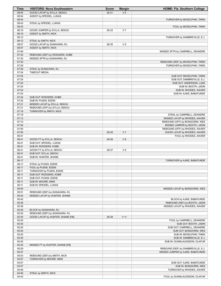| Time  | <b>VISITORS: Nova Southeastern</b>              | <b>Score</b> | <b>Margin</b>  | <b>HOME: Fla. Southern College</b> |
|-------|-------------------------------------------------|--------------|----------------|------------------------------------|
| 08:54 | GOOD! LAYUP by SYLLA, SEKOU                     | 26-31        | V <sub>5</sub> |                                    |
| 08:54 | ASSIST by SPEIDEL, LUKAS                        |              |                |                                    |
| 08:43 |                                                 |              |                | TURNOVER by MCKELPHIN, TARIK       |
| 08:43 | STEAL by SPEIDEL, LUKAS                         |              |                |                                    |
| 08:43 |                                                 |              |                | FOUL by MCKELPHIN, TARIK           |
| 08:19 | GOOD! JUMPER by SYLLA, SEKOU                    | 26-33        | V <sub>7</sub> |                                    |
| 08:19 | ASSIST by SMITH, NICK                           |              |                |                                    |
| 08:12 |                                                 |              |                | TURNOVER by DAMBREVILLE, E.J.      |
| 08:12 | STEAL by SMITH, NICK                            |              |                |                                    |
| 08:07 | GOOD! LAYUP by SUNAHARA, RJ                     | 26-35        | V <sub>9</sub> |                                    |
| 08:07 | ASSIST by SMITH, NICK                           |              |                |                                    |
| 07:46 |                                                 |              |                | MISSED 3PTR by CAMPBELL, DEANDRE   |
| 07:43 | REBOUND (DEF) by RODGERS, KOBE                  |              |                |                                    |
| 07:35 | MISSED 3PTR by SUNAHARA, RJ                     |              |                |                                    |
| 07:30 |                                                 |              |                | REBOUND (DEF) by MCKELPHIN, TARIK  |
| 07:29 |                                                 |              |                | TURNOVER by MCKELPHIN, TARIK       |
| 07:29 | STEAL by SUNAHARA, RJ                           |              |                |                                    |
| 07:24 | <b>TIMEOUT MEDIA</b>                            |              |                |                                    |
| 07:24 |                                                 |              |                | SUB OUT: MCKELPHIN, TARIK          |
| 07:24 |                                                 |              |                | SUB OUT: DAMBREVILLE, E.J.         |
| 07:24 |                                                 |              |                | SUB OUT: ANDERSON, LUKE            |
| 07:24 |                                                 |              |                | SUB IN: BOOTH, JADIN               |
| 07:24 |                                                 |              |                | SUB IN: RHODES, XAVIER             |
| 07:24 |                                                 |              |                | SUB IN: AJIKE, BABATUNDE           |
| 07:24 | SUB OUT: RODGERS, KOBE                          |              |                |                                    |
| 07:24 | SUB IN: PUISIS, EDDIE                           |              |                |                                    |
| 07:21 | MISSED LAYUP by SYLLA, SEKOU                    |              |                |                                    |
| 07:21 | REBOUND (OFF) by SYLLA, SEKOU                   |              |                |                                    |
| 07:18 | TURNOVER by SMITH, NICK                         |              |                |                                    |
| 07:18 |                                                 |              |                | STEAL by CAMPBELL, DEANDRE         |
| 07:13 |                                                 |              |                | MISSED LAYUP by RHODES, XAVIER     |
| 07:10 |                                                 |              |                | REBOUND (OFF) by BONGIORNI, WES    |
| 07:04 |                                                 |              |                | MISSED JUMPER by BOOTH, JADIN      |
| 07:00 |                                                 |              |                | REBOUND (OFF) by RHODES, XAVIER    |
| 07:00 |                                                 | 28-35        | V <sub>7</sub> | GOOD! LAYUP by RHODES, XAVIER      |
| 06:41 |                                                 |              |                | FOUL by RHODES, XAVIER             |
| 06:41 | GOOD! FT by SYLLA, SEKOU                        | 28-36        | V8             |                                    |
| 06:41 | SUB OUT: SPEIDEL, LUKAS                         |              |                |                                    |
| 06:41 | SUB IN: RODGERS, KOBE                           |              |                |                                    |
| 06:41 | GOOD! FT by SYLLA, SEKOU                        | 28-37        | V <sub>9</sub> |                                    |
| 06:41 | SUB OUT: SYLLA, SEKOU                           |              |                |                                    |
| 06:41 | SUB IN: HUNTER, SHANE                           |              |                |                                    |
| 06:17 |                                                 |              |                | TURNOVER by AJIKE, BABATUNDE       |
| 06:17 |                                                 |              |                |                                    |
| 06:11 | STEAL by PUISIS, EDDIE<br>FOUL by PUISIS, EDDIE |              |                |                                    |
| 06:11 | TURNOVER by PUISIS, EDDIE                       |              |                |                                    |
| 06:11 | SUB OUT: RODGERS, KOBE                          |              |                |                                    |
|       | SUB OUT: PUISIS, EDDIE                          |              |                |                                    |
| 06:11 | SUB IN: MOORE, MIKE                             |              |                |                                    |
| 06:11 |                                                 |              |                |                                    |
| 06:11 | SUB IN: SPEIDEL, LUKAS                          |              |                |                                    |
| 05:54 |                                                 |              |                | MISSED LAYUP by BONGIORNI, WES     |
| 05:51 | REBOUND (DEF) by SUNAHARA, RJ                   |              |                |                                    |
| 05:42 | MISSED LAYUP by HUNTER, SHANE                   |              |                |                                    |
| 05:42 |                                                 |              |                | BLOCK by AJIKE, BABATUNDE          |
| 05:38 |                                                 |              |                | REBOUND (DEF) by BOOTH, JADIN      |
| 05:36 |                                                 |              |                | MISSED LAYUP by RHODES, XAVIER     |
| 05:36 | BLOCK by SUNAHARA, RJ                           |              |                |                                    |
| 05:30 | REBOUND (DEF) by SUNAHARA, RJ                   |              |                |                                    |
| 05:30 | GOOD! LAYUP by HUNTER, SHANE [FB]               | 28-39        | $V$ 11         |                                    |
| 05:30 |                                                 |              |                | FOUL by CAMPBELL, DEANDRE          |
| 05:30 |                                                 |              |                | SUB OUT: BOOTH, JADIN              |
| 05:30 |                                                 |              |                | SUB OUT: CAMPBELL, DEANDRE         |
| 05:30 |                                                 |              |                | SUB OUT: BONGIORNI, WES            |
| 05:30 |                                                 |              |                | SUB IN: MCKELPHIN, TARIK           |
| 05:30 |                                                 |              |                | SUB IN: DAMBREVILLE, E.J.          |
| 05:30 |                                                 |              |                | SUB IN: GUNNLAUGSSON, OLAFUR       |
| 05:30 | MISSED FT by HUNTER, SHANE [FB]                 |              |                |                                    |
| 05:29 |                                                 |              |                | REBOUND (DEF) by DAMBREVILLE, E.J. |
| 05:07 |                                                 |              |                | MISSED JUMPER by AJIKE, BABATUNDE  |
| 05:03 | REBOUND (DEF) by SMITH, NICK                    |              |                |                                    |
| 04:57 | TURNOVER by MOORE, MIKE                         |              |                |                                    |
| 04:57 |                                                 |              |                | SUB OUT: AJIKE, BABATUNDE          |
| 04:57 |                                                 |              |                | SUB IN: BONGIORNI, WES             |
| 04:46 |                                                 |              |                | TURNOVER by RHODES, XAVIER         |
| 04:46 | STEAL by SMITH, NICK                            |              |                |                                    |
| 04:42 |                                                 |              |                | FOUL by GUNNLAUGSSON, OLAFUR       |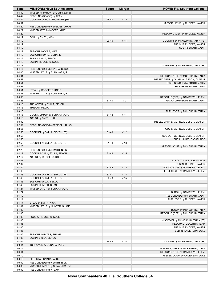| <b>Time</b>    | <b>VISITORS: Nova Southeastern</b>                            | <b>Score</b> | <b>Margin</b>   | <b>HOME: Fla. Southern College</b>                          |
|----------------|---------------------------------------------------------------|--------------|-----------------|-------------------------------------------------------------|
| 04:42          | MISSED FT by HUNTER, SHANE [FB]                               |              |                 |                                                             |
| 04:42          | REBOUND (DEADB) by TEAM                                       |              |                 |                                                             |
| 04:42          | GOOD! FT by HUNTER, SHANE [FB]                                | 28-40        | V <sub>12</sub> |                                                             |
| 04:31          |                                                               |              |                 | MISSED LAYUP by RHODES, XAVIER                              |
| 04:29          | REBOUND (DEF) by SPEIDEL, LUKAS                               |              |                 |                                                             |
| 04:22          | MISSED 3PTR by MOORE, MIKE                                    |              |                 |                                                             |
| 04:20          |                                                               |              |                 | REBOUND (DEF) by RHODES, XAVIER                             |
| 04:19          | FOUL by SMITH, NICK                                           |              |                 |                                                             |
| 04:19          |                                                               | 29-40        | V <sub>11</sub> | GOOD! FT by MCKELPHIN, TARIK [FB]                           |
| 04:19          |                                                               |              |                 | SUB OUT: RHODES, XAVIER                                     |
| 04:19          |                                                               |              |                 | SUB IN: BOOTH, JADIN                                        |
| 04:19          | SUB OUT: MOORE, MIKE                                          |              |                 |                                                             |
| 04:19          | SUB OUT: HUNTER, SHANE                                        |              |                 |                                                             |
| 04:19          | SUB IN: SYLLA, SEKOU                                          |              |                 |                                                             |
| 04:19<br>04:18 | SUB IN: RODGERS, KOBE                                         |              |                 |                                                             |
| 04:17          |                                                               |              |                 | MISSED FT by MCKELPHIN, TARIK [FB]                          |
| 04:05          | REBOUND (DEF) by SYLLA, SEKOU<br>MISSED LAYUP by SUNAHARA, RJ |              |                 |                                                             |
| 04:01          |                                                               |              |                 | REBOUND (DEF) by MCKELPHIN, TARIK                           |
| 03:57          |                                                               |              |                 | MISSED 3PTR by GUNNLAUGSSON, OLAFUR                         |
| 03:54          |                                                               |              |                 | REBOUND (OFF) by BOOTH, JADIN                               |
| 03:51          |                                                               |              |                 | TURNOVER by BOOTH, JADIN                                    |
| 03:51          | STEAL by RODGERS, KOBE                                        |              |                 |                                                             |
| 03:38          | MISSED LAYUP by SUNAHARA, RJ                                  |              |                 |                                                             |
| 03:35          |                                                               |              |                 | REBOUND (DEF) by DAMBREVILLE, E.J.                          |
| 03:28          |                                                               | $31 - 40$    | V <sub>9</sub>  | GOOD! JUMPER by BOOTH, JADIN                                |
| 03:18          | TURNOVER by SYLLA, SEKOU                                      |              |                 |                                                             |
| 03:18          | <b>TIMEOUT MEDIA</b>                                          |              |                 |                                                             |
| 03:16          |                                                               |              |                 | TURNOVER by MCKELPHIN, TARIK                                |
| 03:13          | GOOD! JUMPER by SUNAHARA, RJ                                  | $31 - 42$    | V <sub>11</sub> |                                                             |
| 03:13          | ASSIST by SMITH, NICK                                         |              |                 |                                                             |
| 03:02          |                                                               |              |                 | MISSED 3PTR by GUNNLAUGSSON, OLAFUR                         |
| 02:59          | REBOUND (DEF) by SPEIDEL, LUKAS                               |              |                 |                                                             |
| 02:56          |                                                               |              |                 | FOUL by GUNNLAUGSSON, OLAFUR                                |
| 02:56          | GOOD! FT by SYLLA, SEKOU [FB]                                 | $31 - 43$    | V <sub>12</sub> |                                                             |
| 02:56          |                                                               |              |                 | SUB OUT: GUNNLAUGSSON, OLAFUR                               |
| 02:56          |                                                               |              |                 | SUB IN: AJIKE, BABATUNDE                                    |
| 02:56          | GOOD! FT by SYLLA, SEKOU [FB]                                 | 31-44        | V <sub>13</sub> |                                                             |
| 02:28          |                                                               |              |                 | MISSED LAYUP by MCKELPHIN, TARIK                            |
| 02:25          | REBOUND (DEF) by SMITH, NICK                                  |              |                 |                                                             |
| 02:17          | GOOD! LAYUP by SYLLA, SEKOU                                   | $31 - 46$    | V <sub>15</sub> |                                                             |
| 02:17          | ASSIST by RODGERS, KOBE                                       |              |                 |                                                             |
| 02:07          |                                                               |              |                 | SUB OUT: AJIKE, BABATUNDE                                   |
| 02:07          |                                                               |              |                 | SUB IN: RHODES, XAVIER                                      |
| 01:49          |                                                               | 33-46        | V <sub>13</sub> | GOOD! LAYUP by DAMBREVILLE, E.J.                            |
| 01:48          |                                                               |              |                 | FOUL (TECH) by DAMBREVILLE, E.J.                            |
| 01:48          | GOOD! FT by SYLLA, SEKOU [FB]                                 | 33-47        | V <sub>14</sub> |                                                             |
| 01:48          | GOOD! FT by SYLLA, SEKOU [FB]                                 | 33-48        | V <sub>15</sub> |                                                             |
| 01:48          | SUB OUT: SYLLA, SEKOU                                         |              |                 |                                                             |
| 01:48          | SUB IN: HUNTER, SHANE                                         |              |                 |                                                             |
| 01:24          | MISSED LAYUP by SUNAHARA, RJ                                  |              |                 |                                                             |
| 01:24          |                                                               |              |                 | BLOCK by DAMBREVILLE, E.J.                                  |
| 01:19          |                                                               |              |                 | REBOUND (DEF) by BOOTH, JADIN<br>TURNOVER by RHODES, XAVIER |
| 01:17<br>01:17 |                                                               |              |                 |                                                             |
| 01:09          | STEAL by SMITH, NICK<br>MISSED LAYUP by HUNTER, SHANE         |              |                 |                                                             |
| 01:09          |                                                               |              |                 | BLOCK by MCKELPHIN, TARIK                                   |
| 01:06          |                                                               |              |                 | REBOUND (DEF) by MCKELPHIN, TARIK                           |
| 01:06          | FOUL by RODGERS, KOBE                                         |              |                 |                                                             |
| 01:06          |                                                               |              |                 | MISSED FT by MCKELPHIN, TARIK [FB]                          |
| 01:06          |                                                               |              |                 | REBOUND (DEADB) by TEAM                                     |
| 01:06          |                                                               |              |                 | SUB OUT: RHODES, XAVIER                                     |
| 01:06          |                                                               |              |                 | SUB IN: ANDERSON, LUKE                                      |
| 01:06          | SUB OUT: HUNTER, SHANE                                        |              |                 |                                                             |
| 01:06          | SUB IN: SYLLA, SEKOU                                          |              |                 |                                                             |
| 01:06          |                                                               | 34-48        | V <sub>14</sub> | GOOD! FT by MCKELPHIN, TARIK [FB]                           |
| 00:44          | TURNOVER by SUNAHARA, RJ                                      |              |                 |                                                             |
| 00:14          |                                                               |              |                 | MISSED JUMPER by MCKELPHIN, TARIK                           |
| 00:11          |                                                               |              |                 | REBOUND (OFF) by DAMBREVILLE, E.J.                          |
| 00:10          |                                                               |              |                 | MISSED LAYUP by ANDERSON, LUKE                              |
| 00:10          | BLOCK by SUNAHARA, RJ                                         |              |                 |                                                             |
| 00:02          | REBOUND (DEF) by SMITH, NICK                                  |              |                 |                                                             |
| 00:00          | MISSED JUMPER by SUNAHARA, RJ                                 |              |                 |                                                             |
| 00:00          | REBOUND (OFF) by TEAM                                         |              |                 |                                                             |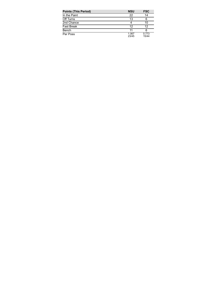| <b>Points (This Period)</b> | <b>NSU</b>     | <b>FSC</b>     |
|-----------------------------|----------------|----------------|
| In the Paint                | 22             | 14             |
| Off Turns                   | 13             | 6              |
| 2nd Chance                  | 4              | 10             |
| <b>Fast Break</b>           | 12             | 12             |
| Bench                       | 11             | 6              |
| Per Poss                    | 1.067<br>23/45 | 0.773<br>15/44 |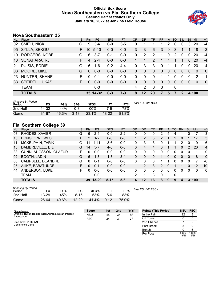## **Official Box Score Nova Southeastern vs Fla. Southern College Second Half Statistics Only January 16, 2022 at Jenkins Field House**



# **Nova Southeastern 35**

| No. | Player                | S  | <b>Pts</b> | <b>FG</b> | 3FG     | <b>FT</b> | <b>OR</b> | DR       | <b>TR</b>      | <b>PF</b>   | A            | TO       | <b>B</b> lk | Stl      | Min           | $+/-$          |
|-----|-----------------------|----|------------|-----------|---------|-----------|-----------|----------|----------------|-------------|--------------|----------|-------------|----------|---------------|----------------|
| 02  | SMITH, NICK           | G  | 9          | 3-4       | $0 - 0$ | $3-5$     | 0         |          |                |             | 2            | 0        | 0           | 3        | 20            | -4             |
| 05  | SYLLA, SEKOU          | F. | 10         | $5 - 10$  | $0-0$   | $0-0$     | 3         | 3        | 6              | 3           | $\mathbf{0}$ | 3        |             |          | 18            | -3             |
| 10  | RODGERS, KOBE         | G  | 6          | $3 - 7$   | $0 - 1$ | $0-0$     | 0         | 2        | 2              | 1           | 0            | 2        | $\Omega$    | 0        | 20            | $-4$           |
| 13  | SUNAHARA, RJ          | F  | 4          | $2 - 4$   | $0-0$   | $0-0$     |           |          | $\overline{2}$ |             |              |          | 1           | $\Omega$ | 20            | $-4$           |
| 21  | PUISIS, EDDIE         | G  | 6          | $1 - 6$   | $0 - 2$ | $4 - 4$   | 0         | 3        | 3              | $\Omega$    | -1           | 1        | $\Omega$    | $\Omega$ | 20            | -4             |
| 03  | MOORE, MIKE           | G  | $\Omega$   | $0 - 0$   | $0 - 0$ | $0 - 0$   | 0         | $\Omega$ | $\mathbf{0}$   | 0           | $\Omega$     | 0        | $\Omega$    | $\Omega$ | $\mathbf{0}$  | $\overline{0}$ |
| 23  | HUNTER, SHANE         | F  | 0          | $0 - 1$   | $0-0$   | $0-0$     | 0         | $\Omega$ | $\Omega$       |             |              | 0        | $\Omega$    | 0        | $\mathcal{P}$ | -1             |
| 33  | <b>SPEIDEL, LUKAS</b> | F. | $\Omega$   | $0 - 0$   | $0-0$   | $0-0$     | 0         | $\Omega$ | $\mathbf{0}$   | 0           | $\Omega$     | $\Omega$ | $\Omega$    | $\Omega$ | $\Omega$      | $\overline{0}$ |
|     | <b>TEAM</b>           |    |            | $0-0$     |         |           | 4         | 2        | 6              | $\mathbf 0$ |              | 0        |             |          |               |                |
|     | <b>TOTALS</b>         |    |            | 35 14-32  | $0 - 3$ | 7-9       | 8         | $12 \,$  | 20             | 7           | 5            |          | 2           |          | 4 100         |                |

| <b>Shooting By Period</b><br>Period | FG        | FG%   | 3FG      | 3FG%  |           | FT%   | Last FG Half: NSU - |
|-------------------------------------|-----------|-------|----------|-------|-----------|-------|---------------------|
| 2nd Half                            | 14-32     | 44%   | $0 - 3$  | 00%   | 7-9       | 78%   |                     |
| Game                                | $31 - 67$ | 46.3% | $3 - 13$ | 23.1% | $18 - 22$ | 81.8% |                     |

# **Fla. Southern College 39**

| No. | -<br>Plaver                 | S. | <b>Pts</b>    | FG        | 3FG      | <b>FT</b> | <b>OR</b> | <b>DR</b> | TR       | PF             | A        | TO | <b>Blk</b> | Stl          | Min      | $+/-$          |
|-----|-----------------------------|----|---------------|-----------|----------|-----------|-----------|-----------|----------|----------------|----------|----|------------|--------------|----------|----------------|
| 03  | RHODES, XAVIER              | G  | 6             | $2 - 4$   | $0 - 0$  | $2 - 2$   | 0         | 0         | 0        | 2              | 5        | 4  |            | ი            | 17       | 3              |
| 10  | <b>BONGIORNI, WES</b>       | F  | $\mathcal{P}$ | $1 - 2$   | $0 - 0$  | $0 - 0$   | 1.        | 2         | 3        | $\overline{2}$ |          | 2  | 0          |              | 17       | 3              |
| 11  | <b>MCKELPHIN, TARIK</b>     | G  |               | 4-11      | $3-6$    | $0 - 0$   | 0         | 3         | 3        |                |          |    | 2          | 0            | 19       | 6              |
| 13  | DAMBREVILLE, E.J.           | G  | 14            | $5 - 7$   | $4-6$    | $0 - 0$   | 0         | 4         | 4        | 0              |          |    | 0          | 2            | 20       | $\overline{4}$ |
| 33  | <b>GUNNLAUGSSON, OLAFUR</b> | F. | $\Omega$      | $0 - 0$   | $0 - 0$  | $0 - 0$   | 0         | 0         | 0        | 0              | 0        | 0  | $\Omega$   | 0            |          | $\mathbf{0}$   |
| 02  | <b>BOOTH, JADIN</b>         | G  | 6             | $1 - 3$   | $1 - 3$  | $3 - 4$   | 0         | 0         | $\Omega$ |                | $\Omega$ | 0  | $\Omega$   | 0            | 8        | $\mathbf{0}$   |
| 05  | CAMPBELL, DEANDRE           | G  | 0             | 0-1       | $0 - 0$  | $0 - 0$   | 0         | 0         | 0        |                |          | 0  | 0          | <sup>0</sup> |          | -6             |
| 25  | AJIKE, BABATUNDE            | F. | 0             | $0 - 1$   | $0 - 0$  | $0 - 0$   |           | 2         | 3        | 2              | 0        |    |            | 0            | 12       | 10             |
| 44  | ANDERSON, LUKE              | F. | 0             | $0 - 0$   | $0 - 0$  | $0 - 0$   | 0         | 0         | 0        | $\Omega$       | 0        | 0  | $\Omega$   | $\Omega$     | $\Omega$ | $\mathbf{0}$   |
|     | TEAM                        |    |               | $0 - 0$   |          |           | 2         |           | 3        | $\Omega$       |          | 0  |            |              |          |                |
|     | <b>TOTALS</b>               |    | 39            | $13 - 29$ | $8 - 15$ | $5 - 6$   | 4         | 12        | 16       | 8              | 9        | 9  | 4          | 3            | 100      |                |

| <b>Shooting By Period</b><br>Period | FG        | FG%   | 3FG       | 3FG%  |          | FT%   |  |
|-------------------------------------|-----------|-------|-----------|-------|----------|-------|--|
| 2nd Half                            | $13 - 29$ | 45%   | $8 - 15$  | 53%   | 5-6      | 83%   |  |
| Game                                | 26-64     | 40.6% | $12 - 29$ | 41.4% | $9 - 12$ | 75.0% |  |

*Last FG Half:* FSC -

| Game Notes:                                                        | <b>Score</b> | 1st | 2 <sub>nd</sub> | <b>TOT</b> | <b>Points (This Period)</b> | <b>NSU</b>     | <b>FSC</b>     |
|--------------------------------------------------------------------|--------------|-----|-----------------|------------|-----------------------------|----------------|----------------|
| Officials: Byron Rosier, Nick Agress, Nolan Padgett<br>Attendance: | <b>NSU</b>   | 48  | 35              | 83         | In the Paint                | 22             |                |
|                                                                    | <b>FSC</b>   | 34  | 39              | 73         | Off Turns                   |                |                |
| Start Time: 01:00 AM                                               |              |     |                 |            | 2nd Chance                  |                |                |
| Conference Game:                                                   |              |     |                 |            | Fast Break                  |                |                |
|                                                                    |              |     |                 |            | Bench                       |                |                |
|                                                                    |              |     |                 |            | Per Poss                    | 0.897<br>18/39 | 1.026<br>16/38 |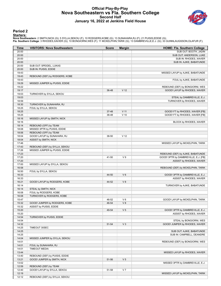#### **Official Play-By-Play Nova Southeastern vs Fla. Southern College Second Half January 16, 2022 at Jenkins Field House**



#### **Period 2**

#### **Starters:**

| Time           | <b>VISITORS: Nova Southeastern</b> | <b>Score</b> | <b>Margin</b>   | <b>HOME: Fla. Southern College</b>                          |
|----------------|------------------------------------|--------------|-----------------|-------------------------------------------------------------|
| 20:00          |                                    |              |                 | SUB OUT: BOOTH, JADIN                                       |
| 20:00          |                                    |              |                 | SUB OUT: ANDERSON, LUKE                                     |
| 20:00          |                                    |              |                 | SUB IN: RHODES, XAVIER                                      |
| 20:00          |                                    |              |                 | SUB IN: AJIKE, BABATUNDE                                    |
| 20:00          | SUB OUT: SPEIDEL, LUKAS            |              |                 |                                                             |
| 20:00<br>19:43 | SUB IN: PUISIS, EDDIE              |              |                 | MISSED LAYUP by AJIKE, BABATUNDE                            |
| 19:43          | REBOUND (DEF) by RODGERS, KOBE     |              |                 |                                                             |
| 19:43          |                                    |              |                 | FOUL by AJIKE, BABATUNDE                                    |
| 19:29          | MISSED JUMPER by PUISIS, EDDIE     |              |                 |                                                             |
| 19:22          |                                    |              |                 | REBOUND (DEF) by BONGIORNI, WES                             |
| 19:17          |                                    | 36-48        | V <sub>12</sub> | GOOD! LAYUP by RHODES, XAVIER                               |
| 19:03          | TURNOVER by SYLLA, SEKOU           |              |                 |                                                             |
| 19:03          |                                    |              |                 | STEAL by DAMBREVILLE, E.J.                                  |
| 18:59          |                                    |              |                 | TURNOVER by RHODES, XAVIER                                  |
| 18:30          | TURNOVER by SUNAHARA, RJ           |              |                 |                                                             |
| 18:25          | FOUL by SYLLA, SEKOU               |              |                 |                                                             |
| 18:25          |                                    | 37-48        | $V$ 11          | GOOD! FT by RHODES, XAVIER [FB]                             |
| 18:25          |                                    | 38-48        | $V$ 10          | GOOD! FT by RHODES, XAVIER [FB]                             |
| 18:16<br>18:16 | MISSED LAYUP by SMITH, NICK        |              |                 | BLOCK by RHODES, XAVIER                                     |
| 18:14          | REBOUND (OFF) by TEAM              |              |                 |                                                             |
| 18:08          | MISSED 3PTR by PUISIS, EDDIE       |              |                 |                                                             |
| 18:06          | REBOUND (OFF) by TEAM              |              |                 |                                                             |
| 18:04          | GOOD! LAYUP by SUNAHARA, RJ        | 38-50        | V <sub>12</sub> |                                                             |
| 18:04          | ASSIST by SMITH, NICK              |              |                 |                                                             |
| 17:46          |                                    |              |                 | MISSED LAYUP by MCKELPHIN, TARIK                            |
| 17:43          | REBOUND (DEF) by SYLLA, SEKOU      |              |                 |                                                             |
| 17:26          | MISSED JUMPER by PUISIS, EDDIE     |              |                 |                                                             |
| 17:23          |                                    |              |                 | REBOUND (DEF) by AJIKE, BABATUNDE                           |
| 17:20          |                                    | 41-50        | V <sub>9</sub>  | GOOD! 3PTR by DAMBREVILLE, E.J. [FB]                        |
| 17:20          |                                    |              |                 | ASSIST by RHODES, XAVIER                                    |
| 17:00          | MISSED LAYUP by SYLLA, SEKOU       |              |                 |                                                             |
| 16:58          |                                    |              |                 | REBOUND (DEF) by MCKELPHIN, TARIK                           |
| 16:50<br>16:33 | FOUL by SYLLA, SEKOU               | 44-50        | $V_6$           |                                                             |
| 16:33          |                                    |              |                 | GOOD! 3PTR by DAMBREVILLE, E.J.<br>ASSIST by RHODES, XAVIER |
| 16:21          | GOOD! LAYUP by RODGERS, KOBE       | 44-52        | V8              |                                                             |
| 16:14          |                                    |              |                 | TURNOVER by AJIKE, BABATUNDE                                |
| 16:14          | STEAL by SMITH, NICK               |              |                 |                                                             |
| 16:08          | FOUL by RODGERS, KOBE              |              |                 |                                                             |
| 16:08          | TURNOVER by RODGERS, KOBE          |              |                 |                                                             |
| 15:47          |                                    | 46-52        | V6              | GOOD! LAYUP by MCKELPHIN, TARIK                             |
| 15:32          | GOOD! JUMPER by RODGERS, KOBE      | 46-54        | V8              |                                                             |
| 15:32          | ASSIST by PUISIS, EDDIE            |              |                 |                                                             |
| 15:20          |                                    | 49-54        | V <sub>5</sub>  | GOOD! 3PTR by DAMBREVILLE, E.J.                             |
| 15:20          |                                    |              |                 | ASSIST by RHODES, XAVIER                                    |
| 14:54          | TURNOVER by PUISIS, EDDIE          |              |                 |                                                             |
| 14:54<br>14:32 |                                    | 51-54        | $V_3$           | STEAL by BONGIORNI, WES<br>GOOD! JUMPER by RHODES, XAVIER   |
| 14:25          | TIMEOUT 30SEC                      |              |                 |                                                             |
| 14:25          |                                    |              |                 | SUB OUT: AJIKE, BABATUNDE                                   |
| 14:25          |                                    |              |                 | SUB IN: CAMPBELL, DEANDRE                                   |
| 14:04          | MISSED JUMPER by SYLLA, SEKOU      |              |                 |                                                             |
| 14:01          |                                    |              |                 | REBOUND (DEF) by BONGIORNI, WES                             |
| 14:01          | FOUL by SUNAHARA, RJ               |              |                 |                                                             |
| 14:01          | <b>TIMEOUT MEDIA</b>               |              |                 |                                                             |
| 13:44          |                                    |              |                 | MISSED LAYUP by RHODES, XAVIER                              |
| 13:40          | REBOUND (DEF) by PUISIS, EDDIE     |              |                 |                                                             |
| 13:21          | GOOD! JUMPER by SMITH, NICK        | 51-56        | V <sub>5</sub>  |                                                             |
| 13:02          |                                    |              |                 | MISSED 3PTR by DAMBREVILLE, E.J.                            |
| 12:59          | REBOUND (DEF) by TEAM              |              |                 |                                                             |
| 12:40          | GOOD! LAYUP by SYLLA, SEKOU        | 51-58        | V <sub>7</sub>  |                                                             |
| 12:19<br>12:12 | REBOUND (DEF) by SYLLA, SEKOU      |              |                 | MISSED LAYUP by MCKELPHIN, TARIK                            |
|                |                                    |              |                 |                                                             |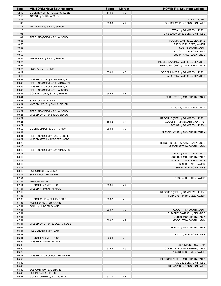| Time           | <b>VISITORS: Nova Southeastern</b> | <b>Score</b> | <b>Margin</b>  | HOME: Fla. Southern College                                           |
|----------------|------------------------------------|--------------|----------------|-----------------------------------------------------------------------|
| 12:10          | GOOD! LAYUP by RODGERS, KOBE       | 51-60        | V <sub>9</sub> |                                                                       |
| 12:10          | ASSIST by SUNAHARA, RJ             |              |                |                                                                       |
| 12:07          |                                    |              |                | <b>TIMEOUT 30SEC</b>                                                  |
| 11:36          |                                    | 53-60        | V <sub>7</sub> | GOOD! LAYUP by BONGIORNI, WES                                         |
| 11:15          | TURNOVER by SYLLA, SEKOU           |              |                |                                                                       |
| 11:15<br>11:05 |                                    |              |                | STEAL by DAMBREVILLE, E.J.                                            |
| 11:01          | REBOUND (DEF) by SYLLA, SEKOU      |              |                | MISSED LAYUP by BONGIORNI, WES                                        |
| 10:53          |                                    |              |                | FOUL by CAMPBELL, DEANDRE                                             |
| 10:53          |                                    |              |                | SUB OUT: RHODES, XAVIER                                               |
| 10:53          |                                    |              |                | SUB IN: BOOTH, JADIN                                                  |
| 10:53          |                                    |              |                | SUB OUT: BONGIORNI, WES                                               |
| 10:53          |                                    |              |                | SUB IN: AJIKE, BABATUNDE                                              |
| 10:46          | TURNOVER by SYLLA, SEKOU           |              |                |                                                                       |
| 10:27          |                                    |              |                | MISSED LAYUP by CAMPBELL, DEANDRE                                     |
| 10:27          |                                    |              |                | REBOUND (OFF) by AJIKE, BABATUNDE                                     |
| 10:27          | FOUL by SMITH, NICK                |              |                |                                                                       |
| 10:19<br>10:19 |                                    | 55-60        | V <sub>5</sub> | GOOD! JUMPER by DAMBREVILLE, E.J.<br>ASSIST by CAMPBELL, DEANDRE      |
| 09:53          | MISSED LAYUP by SUNAHARA, RJ       |              |                |                                                                       |
| 09:49          | REBOUND (OFF) by SUNAHARA, RJ      |              |                |                                                                       |
| 09:49          | MISSED LAYUP by SUNAHARA, RJ       |              |                |                                                                       |
| 09:47          | REBOUND (OFF) by SYLLA, SEKOU      |              |                |                                                                       |
| 09:47          | GOOD! LAYUP by SYLLA, SEKOU        | 55-62        | V <sub>7</sub> |                                                                       |
| 09:41          |                                    |              |                | TURNOVER by MCKELPHIN, TARIK                                          |
| 09:41          | STEAL by SMITH, NICK               |              |                |                                                                       |
| 09:34          | MISSED LAYUP by SYLLA, SEKOU       |              |                |                                                                       |
| 09:34          |                                    |              |                | BLOCK by AJIKE, BABATUNDE                                             |
| 09:29          | REBOUND (OFF) by SYLLA, SEKOU      |              |                |                                                                       |
| 09:26          | MISSED LAYUP by SYLLA, SEKOU       |              |                |                                                                       |
| 09:22<br>09:21 |                                    | 58-62        | V <sub>4</sub> | REBOUND (DEF) by DAMBREVILLE, E.J.<br>GOOD! 3PTR by BOOTH, JADIN [FB] |
| 09:21          |                                    |              |                | ASSIST by DAMBREVILLE, E.J.                                           |
| 08:58          | GOOD! JUMPER by SMITH, NICK        | 58-64        | $V_6$          |                                                                       |
| 08:34          |                                    |              |                | MISSED LAYUP by MCKELPHIN, TARIK                                      |
| 08:31          | REBOUND (DEF) by PUISIS, EDDIE     |              |                |                                                                       |
| 08:29          | MISSED 3PTR by RODGERS, KOBE       |              |                |                                                                       |
| 08:25          |                                    |              |                | REBOUND (DEF) by AJIKE, BABATUNDE                                     |
| 08:15          |                                    |              |                | MISSED 3PTR by BOOTH, JADIN                                           |
| 08:12          | REBOUND (DEF) by SUNAHARA, RJ      |              |                |                                                                       |
| 08:12          |                                    |              |                | FOUL by AJIKE, BABATUNDE                                              |
| 08:12          |                                    |              |                | SUB OUT: MCKELPHIN, TARIK                                             |
| 08:12<br>08:12 |                                    |              |                | SUB OUT: AJIKE, BABATUNDE<br>SUB IN: RHODES, XAVIER                   |
| 08:12          |                                    |              |                | SUB IN: BONGIORNI, WES                                                |
| 08:12          | SUB OUT: SYLLA, SEKOU              |              |                |                                                                       |
| 08:12          | SUB IN: HUNTER, SHANE              |              |                |                                                                       |
| 07:54          |                                    |              |                | FOUL by RHODES, XAVIER                                                |
| 07:54          | <b>TIMEOUT MEDIA</b>               |              |                |                                                                       |
| 07:54          | GOOD! FT by SMITH, NICK            | 58-65        | V <sub>7</sub> |                                                                       |
| 07:54          | MISSED FT by SMITH, NICK           |              |                |                                                                       |
| 07:52          |                                    |              |                | REBOUND (DEF) by DAMBREVILLE, E.J.                                    |
| 07:48          |                                    |              |                | TURNOVER by RHODES, XAVIER                                            |
| 07:38          | GOOD! LAYUP by PUISIS, EDDIE       | 58-67        | V <sub>9</sub> |                                                                       |
| 07:38          | ASSIST by HUNTER, SHANE            |              |                |                                                                       |
| 07:11          | FOUL by HUNTER, SHANE              |              | V8             |                                                                       |
| 07:11<br>07:11 |                                    | 59-67        |                | GOOD! FT by BOOTH, JADIN<br>SUB OUT: CAMPBELL, DEANDRE                |
| 07:11          |                                    |              |                | SUB IN: MCKELPHIN, TARIK                                              |
| 07:11          |                                    | 60-67        | V <sub>7</sub> | GOOD! FT by BOOTH, JADIN                                              |
| 06:44          | MISSED LAYUP by RODGERS, KOBE      |              |                |                                                                       |
| 06:44          |                                    |              |                | BLOCK by MCKELPHIN, TARIK                                             |
| 06:44          | REBOUND (OFF) by TEAM              |              |                |                                                                       |
| 06:41          |                                    |              |                | FOUL by BONGIORNI, WES                                                |
| 06:41          | GOOD! FT by SMITH, NICK            | 60-68        | V8             |                                                                       |
| 06:39          | MISSED FT by SMITH, NICK           |              |                |                                                                       |
| 06:38          |                                    |              |                | REBOUND (DEF) by TEAM                                                 |
| 06:20          |                                    | 63-68        | V <sub>5</sub> | GOOD! 3PTR by MCKELPHIN, TARIK                                        |
| 06:20          |                                    |              |                | ASSIST by RHODES, XAVIER                                              |
| 06:01<br>05:58 | MISSED LAYUP by HUNTER, SHANE      |              |                | REBOUND (DEF) by MCKELPHIN, TARIK                                     |
| 05:49          |                                    |              |                | FOUL by BONGIORNI, WES                                                |
| 05:49          |                                    |              |                | TURNOVER by BONGIORNI, WES                                            |
| 05:49          | SUB OUT: HUNTER, SHANE             |              |                |                                                                       |
| 05:49          | SUB IN: SYLLA, SEKOU               |              |                |                                                                       |
| 05:31          | GOOD! JUMPER by SMITH, NICK        | 63-70        | V <sub>7</sub> |                                                                       |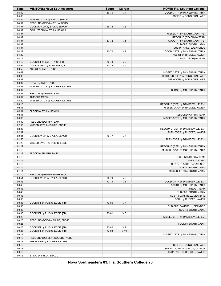| Time           | <b>VISITORS: Nova Southeastern</b> | <b>Score</b> | <b>Margin</b>  | HOME: Fla. Southern College                                           |
|----------------|------------------------------------|--------------|----------------|-----------------------------------------------------------------------|
| 05:09          |                                    | 66-70        | V <sub>4</sub> | GOOD! 3PTR by MCKELPHIN, TARIK                                        |
| 05:09          |                                    |              |                | ASSIST by BONGIORNI, WES                                              |
| 04:39          | MISSED LAYUP by SYLLA, SEKOU       |              |                |                                                                       |
| 04:37          | REBOUND (OFF) by SYLLA, SEKOU      |              |                |                                                                       |
| 04:37          | GOOD! LAYUP by SYLLA, SEKOU        | 66-72        | $V_6$          |                                                                       |
| 04:37<br>04:37 | FOUL (TECH) by SYLLA, SEKOU        |              |                | MISSED FT by BOOTH, JADIN [FB]                                        |
| 04:37          |                                    |              |                | REBOUND (DEADB) by TEAM                                               |
| 04:37          |                                    | 67-72        | V <sub>5</sub> | GOOD! FT by BOOTH, JADIN [FB]                                         |
| 04:37          |                                    |              |                | SUB OUT: BOOTH, JADIN                                                 |
| 04:37          |                                    |              |                | SUB IN: AJIKE, BABATUNDE                                              |
| 04:22          |                                    | 70-72        | V <sub>2</sub> | GOOD! 3PTR by MCKELPHIN, TARIK                                        |
| 04:22          |                                    |              |                | ASSIST by RHODES, XAVIER                                              |
| 04:19          |                                    |              |                | FOUL (TECH) by TEAM                                                   |
| 04:19          | GOOD! FT by SMITH, NICK [FB]       | 70-73        | $V_3$          |                                                                       |
| 03:52          | GOOD! DUNK by SUNAHARA, RJ         | 70-75        | V <sub>5</sub> |                                                                       |
| 03:52          | ASSIST by SMITH, NICK              |              |                |                                                                       |
| 03:42          |                                    |              |                | MISSED 3PTR by MCKELPHIN, TARIK                                       |
| 03:39          |                                    |              |                | REBOUND (OFF) by BONGIORNI, WES                                       |
| 03:37          |                                    |              |                | TURNOVER by BONGIORNI, WES                                            |
| 03:37          | STEAL by SMITH, NICK               |              |                |                                                                       |
| 03:37          | MISSED LAYUP by RODGERS, KOBE      |              |                |                                                                       |
| 03:37<br>03:37 | REBOUND (OFF) by TEAM              |              |                | BLOCK by MCKELPHIN, TARIK                                             |
| 03:37          | <b>TIMEOUT MEDIA</b>               |              |                |                                                                       |
| 03:20          | MISSED LAYUP by RODGERS, KOBE      |              |                |                                                                       |
| 03:18          |                                    |              |                | REBOUND (DEF) by DAMBREVILLE, E.J.                                    |
| 03:11          |                                    |              |                | MISSED LAYUP by RHODES, XAVIER                                        |
| 03:11          | BLOCK by SYLLA, SEKOU              |              |                |                                                                       |
| 03:11          |                                    |              |                | REBOUND (OFF) by TEAM                                                 |
| 03:00          |                                    |              |                | MISSED 3PTR by MCKELPHIN, TARIK                                       |
| 03:00          | REBOUND (DEF) by TEAM              |              |                |                                                                       |
| 02:38          | MISSED 3PTR by PUISIS, EDDIE       |              |                |                                                                       |
| 02:33          |                                    |              |                | REBOUND (DEF) by DAMBREVILLE, E.J.                                    |
| 02:32          |                                    |              |                | TURNOVER by RHODES, XAVIER                                            |
| 02:01          | GOOD! LAYUP by SYLLA, SEKOU        | 70-77        | V <sub>7</sub> |                                                                       |
| 01:50          |                                    |              |                | TURNOVER by DAMBREVILLE, E.J.                                         |
| 01:25<br>01:22 | MISSED LAYUP by PUISIS, EDDIE      |              |                |                                                                       |
| 01:19          |                                    |              |                | REBOUND (DEF) by MCKELPHIN, TARIK<br>MISSED LAYUP by MCKELPHIN, TARIK |
| 01:19          | BLOCK by SUNAHARA, RJ              |              |                |                                                                       |
| 01:19          |                                    |              |                | REBOUND (OFF) by TEAM                                                 |
| 01:19          |                                    |              |                | TIMEOUT 30SEC                                                         |
| 01:19          |                                    |              |                | SUB OUT: AJIKE, BABATUNDE                                             |
| 01:19          |                                    |              |                | SUB IN: BOOTH, JADIN                                                  |
| 01:14          |                                    |              |                | MISSED 3PTR by BOOTH, JADIN                                           |
| 01:10          | REBOUND (DEF) by SMITH, NICK       |              |                |                                                                       |
| 00:51          | GOOD! LAYUP by SYLLA, SEKOU        | 70-79        | V <sub>9</sub> |                                                                       |
| 00:43          |                                    | 73-79        | $V_6$          | GOOD! 3PTR by DAMBREVILLE, E.J.                                       |
| 00:43          |                                    |              |                | <b>ASSIST by MCKELPHIN, TARIK</b>                                     |
| 00:43          |                                    |              |                | <b>TIMEOUT TEAM</b>                                                   |
| 00:43          |                                    |              |                | SUB OUT: BOOTH, JADIN                                                 |
| 00:43<br>00:38 |                                    |              |                | SUB IN: CAMPBELL, DEANDRE<br>FOUL by RHODES, XAVIER                   |
| 00:38          | GOOD! FT by PUISIS, EDDIE [FB]     | 73-80        | V <sub>7</sub> |                                                                       |
| 00:38          |                                    |              |                | SUB OUT: CAMPBELL, DEANDRE                                            |
| 00:38          |                                    |              |                | SUB IN: BOOTH, JADIN                                                  |
| 00:38          | GOOD! FT by PUISIS, EDDIE [FB]     | 73-81        | V8             |                                                                       |
| 00:28          |                                    |              |                | MISSED 3PTR by DAMBREVILLE, E.J.                                      |
| 00:26          | REBOUND (DEF) by PUISIS, EDDIE     |              |                |                                                                       |
| 00:26          |                                    |              |                | FOUL by BOOTH, JADIN                                                  |
| 00:26          | GOOD! FT by PUISIS, EDDIE [FB]     | 73-82        | V <sub>9</sub> |                                                                       |
| 00:26          | GOOD! FT by PUISIS, EDDIE [FB]     | 73-83        | $V$ 10         |                                                                       |
| 00:18          |                                    |              |                | MISSED 3PTR by MCKELPHIN, TARIK                                       |
| 00:18          | REBOUND (DEF) by RODGERS, KOBE     |              |                |                                                                       |
| 00:18          | TURNOVER by RODGERS, KOBE          |              |                |                                                                       |
| 00:18          |                                    |              |                | SUB OUT: BONGIORNI, WES                                               |
| 00:18          |                                    |              |                | SUB IN: GUNNLAUGSSON, OLAFUR                                          |
| 00:15          |                                    |              |                | TURNOVER by RHODES, XAVIER                                            |
| 00:15          | STEAL by SYLLA, SEKOU              |              |                |                                                                       |

**Nova Southeastern 83, Fla. Southern College 73**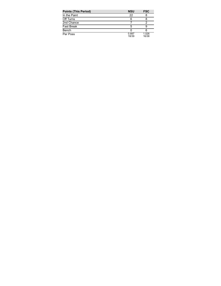| <b>Points (This Period)</b> | <b>NSU</b>     | <b>FSC</b>     |
|-----------------------------|----------------|----------------|
| In the Paint                | 22             |                |
| Off Turns                   | 6              |                |
| 2nd Chance                  |                |                |
| Fast Break                  |                |                |
| Bench                       |                | 6              |
| Per Poss                    | 0.897<br>18/39 | 1.026<br>16/38 |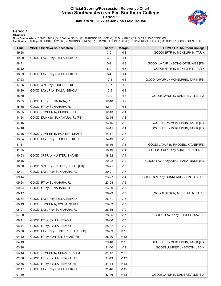#### **Official Scoring/Possession Reference Chart Nova Southeastern vs Fla. Southern College Period 1 January 16, 2022 at Jenkins Field House**



#### **Period 1**

#### **Starters:**

| Time  | <b>VISITORS: Nova Southeastern</b> | <b>Score</b> | <b>Margin</b>   | <b>HOME: Fla. Southern College</b>   |
|-------|------------------------------------|--------------|-----------------|--------------------------------------|
| 19:18 |                                    | $3-0$        | $H_3$           | GOOD! 3PTR by MCKELPHIN, TARIK       |
| 19:00 | GOOD! LAYUP by SYLLA, SEKOU        | $3 - 2$      | H 1             |                                      |
| 18:41 |                                    | $5-2$        | $H_3$           | GOOD! LAYUP by BONGIORNI, WES [FB]   |
| 18:12 |                                    | 8-2          | H <sub>6</sub>  | GOOD! 3PTR by MCKELPHIN, TARIK       |
| 18:03 | GOOD! LAYUP by SYLLA, SEKOU        | $8 - 4$      | H4              |                                      |
| 17:23 |                                    | $10 - 4$     | H <sub>6</sub>  | GOOD! LAYUP by MCKELPHIN, TARIK [FB] |
| 17:06 | GOOD! 3PTR by RODGERS, KOBE        | $10 - 7$     | $H_3$           |                                      |
| 16:29 | GOOD! LAYUP by SYLLA, SEKOU        | $10-9$       | H <sub>1</sub>  |                                      |
| 15:50 |                                    | $12-9$       | $H_3$           | GOOD! LAYUP by DAMBREVILLE, E.J.     |
| 15:35 | GOOD! FT by SUNAHARA, RJ           | $12 - 10$    | H <sub>2</sub>  |                                      |
| 15:35 | GOOD! FT by SUNAHARA, RJ           | $12 - 11$    | H <sub>1</sub>  |                                      |
| 15:05 | GOOD! JUMPER by PUISIS, EDDIE      | $12 - 13$    | V <sub>1</sub>  |                                      |
| 14:24 | GOOD! DUNK by SUNAHARA, RJ [FB]    | $12 - 15$    | $V_3$           |                                      |
| 14:16 |                                    | 13-15        | V <sub>2</sub>  | GOOD! FT by MCKELPHIN, TARIK [FB]    |
| 14:16 |                                    | $14 - 15$    | V <sub>1</sub>  | GOOD! FT by MCKELPHIN, TARIK [FB]    |
| 13:45 | GOOD! JUMPER by HUNTER, SHANE      | $14 - 17$    | $V_3$           |                                      |
| 13:04 | GOOD! LAYUP by RODGERS, KOBE       | 14-19        | V <sub>5</sub>  |                                      |
| 11:51 |                                    | 16-19        | $V_3$           | GOOD! LAYUP by RHODES, XAVIER [FB]   |
| 11:05 |                                    | 18-19        | V <sub>1</sub>  | GOOD! JUMPER by AJIKE, BABATUNDE     |
| 10:53 | GOOD! 3PTR by HUNTER, SHANE        | 18-22        | V <sub>4</sub>  |                                      |
| 10:46 |                                    | 20-22        | V <sub>2</sub>  | GOOD! LAYUP by AJIKE, BABATUNDE [FB] |
| 10:38 | GOOD! 3PTR by SPEIDEL, LUKAS [FB]  | 20-25        | V <sub>5</sub>  |                                      |
| 10:07 | GOOD! LAYUP by SUNAHARA, RJ        | 20-27        | V <sub>7</sub>  |                                      |
| 09:44 |                                    | 23-27        | V 4             | GOOD! 3PTR by GUNNLAUGSSON, OLAFUR   |
| 09:24 | GOOD! FT by SUNAHARA, RJ           | 23-28        | V <sub>5</sub>  |                                      |
| 09:24 | GOOD! FT by SUNAHARA, RJ           | 23-29        | V6              |                                      |
| 09:17 |                                    | 26-29        | V <sub>3</sub>  | GOOD! 3PTR by MCKELPHIN, TARIK       |
| 08:54 | GOOD! LAYUP by SYLLA, SEKOU        | 26-31        | V <sub>5</sub>  |                                      |
| 08:19 | GOOD! JUMPER by SYLLA, SEKOU       | 26-33        | V <sub>7</sub>  |                                      |
| 08:07 | GOOD! LAYUP by SUNAHARA, RJ        | 26-35        | V 9             |                                      |
| 07:00 |                                    | 28-35        | V <sub>7</sub>  | GOOD! LAYUP by RHODES, XAVIER        |
| 06:41 | GOOD! FT by SYLLA, SEKOU           | 28-36        | V8              |                                      |
| 06:41 | GOOD! FT by SYLLA, SEKOU           | 28-37        | V <sub>9</sub>  |                                      |
| 05:30 | GOOD! LAYUP by HUNTER, SHANE [FB]  | 28-39        | V <sub>11</sub> |                                      |
| 04:42 | GOOD! FT by HUNTER, SHANE [FB]     | 28-40        | V <sub>12</sub> |                                      |
| 04:19 |                                    | 29-40        | V <sub>11</sub> | GOOD! FT by MCKELPHIN, TARIK [FB]    |
| 03:28 |                                    | $31 - 40$    | V <sub>9</sub>  | GOOD! JUMPER by BOOTH, JADIN         |
| 03:13 | GOOD! JUMPER by SUNAHARA, RJ       | $31 - 42$    | V <sub>11</sub> |                                      |
| 02:56 | GOOD! FT by SYLLA, SEKOU [FB]      | $31 - 43$    | V <sub>12</sub> |                                      |
| 02:56 | GOOD! FT by SYLLA, SEKOU [FB]      | $31 - 44$    | V <sub>13</sub> |                                      |
| 02:17 | GOOD! LAYUP by SYLLA, SEKOU        | 31-46        | V <sub>15</sub> |                                      |
| 01:49 |                                    | 33-46        | V <sub>13</sub> | GOOD! LAYUP by DAMBREVILLE, E.J.     |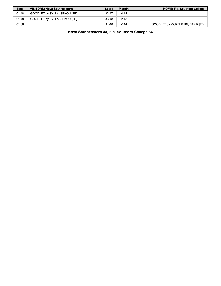| <b>Time</b> | <b>VISITORS: Nova Southeastern</b> | <b>Score</b> | <b>Margin</b>   | <b>HOME: Fla. Southern College</b> |
|-------------|------------------------------------|--------------|-----------------|------------------------------------|
| 01:48       | GOOD! FT by SYLLA, SEKOU [FB]      | $33 - 47$    | V <sub>14</sub> |                                    |
| 01:48       | GOOD! FT by SYLLA, SEKOU [FB]      | $33 - 48$    | V 15            |                                    |
| 01:06       |                                    | 34-48        | V 14            | GOOD! FT by MCKELPHIN, TARIK [FB]  |

**Nova Southeastern 48, Fla. Southern College 34**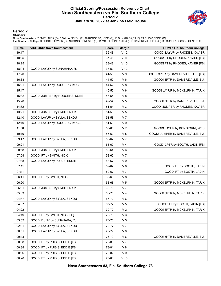#### **Official Scoring/Possession Reference Chart Nova Southeastern vs Fla. Southern College Period 2 January 16, 2022 at Jenkins Field House**



#### **Period 2**

#### **Starters:**

| <b>Time</b> | <b>VISITORS: Nova Southeastern</b> | <b>Score</b> | <b>Margin</b>   | <b>HOME: Fla. Southern College</b>   |
|-------------|------------------------------------|--------------|-----------------|--------------------------------------|
| 19:17       |                                    | 36-48        | V <sub>12</sub> | GOOD! LAYUP by RHODES, XAVIER        |
| 18:25       |                                    | 37-48        | V <sub>11</sub> | GOOD! FT by RHODES, XAVIER [FB]      |
| 18:25       |                                    | 38-48        | $V$ 10          | GOOD! FT by RHODES, XAVIER [FB]      |
| 18:04       | GOOD! LAYUP by SUNAHARA, RJ        | 38-50        | V <sub>12</sub> |                                      |
| 17:20       |                                    | 41-50        | V <sub>9</sub>  | GOOD! 3PTR by DAMBREVILLE, E.J. [FB] |
| 16:33       |                                    | 44-50        | $V_6$           | GOOD! 3PTR by DAMBREVILLE, E.J.      |
| 16:21       | GOOD! LAYUP by RODGERS, KOBE       | 44-52        | V8              |                                      |
| 15:47       |                                    | 46-52        | $V_6$           | GOOD! LAYUP by MCKELPHIN, TARIK      |
| 15:32       | GOOD! JUMPER by RODGERS, KOBE      | 46-54        | V8              |                                      |
| 15:20       |                                    | 49-54        | V <sub>5</sub>  | GOOD! 3PTR by DAMBREVILLE, E.J.      |
| 14:32       |                                    | 51-54        | V <sub>3</sub>  | GOOD! JUMPER by RHODES, XAVIER       |
| 13:21       | GOOD! JUMPER by SMITH, NICK        | 51-56        | V <sub>5</sub>  |                                      |
| 12:40       | GOOD! LAYUP by SYLLA, SEKOU        | 51-58        | V <sub>7</sub>  |                                      |
| 12:10       | GOOD! LAYUP by RODGERS, KOBE       | 51-60        | V <sub>9</sub>  |                                      |
| 11:36       |                                    | 53-60        | V <sub>7</sub>  | GOOD! LAYUP by BONGIORNI, WES        |
| 10:19       |                                    | 55-60        | V <sub>5</sub>  | GOOD! JUMPER by DAMBREVILLE, E.J.    |
| 09:47       | GOOD! LAYUP by SYLLA, SEKOU        | 55-62        | V <sub>7</sub>  |                                      |
| 09:21       |                                    | 58-62        | V <sub>4</sub>  | GOOD! 3PTR by BOOTH, JADIN [FB]      |
| 08:58       | GOOD! JUMPER by SMITH, NICK        | 58-64        | $V_6$           |                                      |
| 07:54       | GOOD! FT by SMITH, NICK            | 58-65        | V <sub>7</sub>  |                                      |
| 07:38       | GOOD! LAYUP by PUISIS, EDDIE       | 58-67        | V <sub>9</sub>  |                                      |
| 07:11       |                                    | 59-67        | V8              | GOOD! FT by BOOTH, JADIN             |
| 07:11       |                                    | 60-67        | V <sub>7</sub>  | GOOD! FT by BOOTH, JADIN             |
| 06:41       | GOOD! FT by SMITH, NICK            | 60-68        | V8              |                                      |
| 06:20       |                                    | 63-68        | V <sub>5</sub>  | GOOD! 3PTR by MCKELPHIN, TARIK       |
| 05:31       | GOOD! JUMPER by SMITH, NICK        | 63-70        | V <sub>7</sub>  |                                      |
| 05:09       |                                    | 66-70        | V <sub>4</sub>  | GOOD! 3PTR by MCKELPHIN, TARIK       |
| 04:37       | GOOD! LAYUP by SYLLA, SEKOU        | 66-72        | $V_6$           |                                      |
| 04:37       |                                    | 67-72        | V <sub>5</sub>  | GOOD! FT by BOOTH, JADIN [FB]        |
| 04:22       |                                    | 70-72        | V <sub>2</sub>  | GOOD! 3PTR by MCKELPHIN, TARIK       |
| 04:19       | GOOD! FT by SMITH, NICK [FB]       | 70-73        | $V_3$           |                                      |
| 03:52       | GOOD! DUNK by SUNAHARA, RJ         | 70-75        | V <sub>5</sub>  |                                      |
| 02:01       | GOOD! LAYUP by SYLLA, SEKOU        | 70-77        | V <sub>7</sub>  |                                      |
| 00:51       | GOOD! LAYUP by SYLLA, SEKOU        | 70-79        | V <sub>9</sub>  |                                      |
| 00:43       |                                    | 73-79        | $V_6$           | GOOD! 3PTR by DAMBREVILLE, E.J.      |
| 00:38       | GOOD! FT by PUISIS, EDDIE [FB]     | 73-80        | V <sub>7</sub>  |                                      |
| 00:38       | GOOD! FT by PUISIS, EDDIE [FB]     | 73-81        | V8              |                                      |
| 00:26       | GOOD! FT by PUISIS, EDDIE [FB]     | 73-82        | V <sub>9</sub>  |                                      |
| 00:26       | GOOD! FT by PUISIS, EDDIE [FB]     | 73-83        | $V$ 10          |                                      |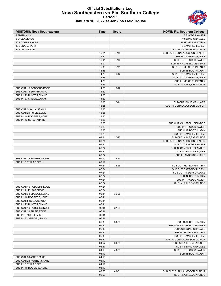#### **Official Substitutions Log Nova Southeastern vs Fla. Southern College Period 1 January 16, 2022 at Jenkins Field House**



| <b>VISITORS: Nova Southeastern</b> | Time  | <b>Score</b> | HOME: Fla. Southern College   |
|------------------------------------|-------|--------------|-------------------------------|
| 2 SMITH, NICK                      |       |              | 3 RHODES, XAVIER              |
| 5 SYLLA, SEKOU                     |       |              | 10 BONGIORNI, WES             |
| 10 RODGERS, KOBE                   |       |              | 11 MCKELPHIN, TARIK           |
| 13 SUNAHARA, RJ                    |       |              | 13 DAMBREVILLE, E.J.          |
| 21 PUISIS, EDDIE                   |       |              | 33 GUNNLAUGSSON, OLAFUR       |
|                                    | 16:24 | $9 - 10$     | SUB OUT: GUNNLAUGSSON, OLAFUR |
|                                    | 16:24 |              | SUB IN: ANDERSON, LUKE        |
|                                    | 16:01 | $9 - 10$     | SUB OUT: RHODES, XAVIER       |
|                                    | 16:01 |              | SUB IN: CAMPBELL, DEANDRE     |
|                                    | 15:35 | $9 - 12$     | SUB OUT: MCKELPHIN, TARIK     |
|                                    | 15:35 |              | SUB IN: BOOTH, JADIN          |
|                                    | 14:23 | $15 - 12$    | SUB OUT: DAMBREVILLE, E.J.    |
|                                    | 14:23 |              | SUB OUT: ANDERSON, LUKE       |
|                                    |       |              |                               |
|                                    | 14:23 |              | SUB IN: MCKELPHIN, TARIK      |
|                                    | 14:23 |              | SUB IN: AJIKE, BABATUNDE      |
| SUB OUT: 10 RODGERS, KOBE          | 14:20 | $15 - 12$    |                               |
| SUB OUT: 13 SUNAHARA, RJ           | 14:20 |              |                               |
| SUB IN: 23 HUNTER, SHANE           | 14:20 |              |                               |
| SUB IN: 33 SPEIDEL, LUKAS          | 14:20 |              |                               |
|                                    | 13:25 | $17 - 14$    | SUB OUT: BONGIORNI, WES       |
|                                    | 13:25 |              | SUB IN: GUNNLAUGSSON, OLAFUR  |
| SUB OUT: 5 SYLLA, SEKOU            | 13:25 |              |                               |
| SUB OUT: 21 PUISIS, EDDIE          | 13:25 |              |                               |
| SUB IN: 10 RODGERS.KOBE            | 13:25 |              |                               |
| SUB IN: 13 SUNAHARA, RJ            | 13:25 |              |                               |
|                                    | 13:25 |              | SUB OUT: CAMPBELL, DEANDRE    |
|                                    | 13:25 |              | SUB IN: RHODES, XAVIER        |
|                                    | 13:25 |              | SUB OUT: BOOTH, JADIN         |
|                                    | 13:25 |              | SUB IN: DAMBREVILLE, E.J.     |
|                                    | 09:24 | 27-23        | SUB OUT: AJIKE, BABATUNDE     |
|                                    | 09:24 |              | SUB OUT: GUNNLAUGSSON, OLAFUR |
|                                    | 09:24 |              | SUB OUT: RHODES, XAVIER       |
|                                    | 09:24 |              | SUB IN: CAMPBELL, DEANDRE     |
|                                    | 09:24 |              | SUB IN: BONGIORNI, WES        |
|                                    |       |              |                               |
|                                    | 09:24 |              | SUB IN: ANDERSON, LUKE        |
| SUB OUT: 23 HUNTER, SHANE          | 09:19 | 29-23        |                               |
| SUB IN: 5 SYLLA, SEKOU             | 09:19 |              |                               |
|                                    | 07:24 | 35-26        | SUB OUT: MCKELPHIN, TARIK     |
|                                    | 07:24 |              | SUB OUT: DAMBREVILLE, E.J.    |
|                                    | 07:24 |              | SUB OUT: ANDERSON, LUKE       |
|                                    | 07:24 |              | SUB IN: BOOTH, JADIN          |
|                                    | 07:24 |              | SUB IN: RHODES, XAVIER        |
|                                    | 07:24 |              | SUB IN: AJIKE, BABATUNDE      |
| SUB OUT: 10 RODGERS, KOBE          | 07:24 |              |                               |
| SUB IN: 21 PUISIS.EDDIE            | 07:24 |              |                               |
| SUB OUT: 33 SPEIDEL, LUKAS         | 06:41 | 36-28        |                               |
| SUB IN: 10 RODGERS, KOBE           | 06:41 |              |                               |
| SUB OUT: 5 SYLLA, SEKOU            | 06:41 |              |                               |
| SUB IN: 23 HUNTER, SHANE           | 06:41 |              |                               |
| SUB OUT: 10 RODGERS, KOBE          | 06:11 | 37-28        |                               |
| SUB OUT: 21 PUISIS, EDDIE          | 06:11 |              |                               |
| SUB IN: 3 MOORE, MIKE              | 06:11 |              |                               |
| SUB IN: 33 SPEIDEL, LUKAS          | 06:11 |              |                               |
|                                    | 05:30 | 39-28        | SUB OUT: BOOTH, JADIN         |
|                                    | 05:30 |              | SUB OUT: CAMPBELL, DEANDRE    |
|                                    |       |              |                               |
|                                    | 05:30 |              | SUB OUT: BONGIORNI, WES       |
|                                    | 05:30 |              | SUB IN: MCKELPHIN, TARIK      |
|                                    | 05:30 |              | SUB IN: DAMBREVILLE, E.J.     |
|                                    | 05:30 |              | SUB IN: GUNNLAUGSSON, OLAFUR  |
|                                    | 04:57 | 39-28        | SUB OUT: AJIKE, BABATUNDE     |
|                                    | 04:57 |              | SUB IN: BONGIORNI, WES        |
|                                    | 04:19 | 40-29        | SUB OUT: RHODES, XAVIER       |
|                                    | 04:19 |              | SUB IN: BOOTH, JADIN          |
| SUB OUT: 3 MOORE, MIKE             | 04:19 |              |                               |
| SUB OUT: 23 HUNTER, SHANE          | 04:19 |              |                               |
| SUB IN: 5 SYLLA, SEKOU             | 04:19 |              |                               |
| SUB IN: 10 RODGERS, KOBE           | 04:19 |              |                               |
|                                    | 02:56 | 43-31        | SUB OUT: GUNNLAUGSSON, OLAFUR |
|                                    | 02:56 |              | SUB IN: AJIKE, BABATUNDE      |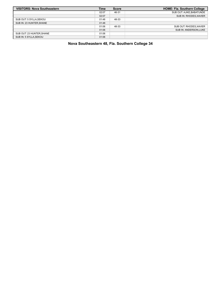| <b>VISITORS: Nova Southeastern</b> | <b>Time</b> | <b>Score</b> | <b>HOME: Fla. Southern College</b> |
|------------------------------------|-------------|--------------|------------------------------------|
|                                    | 02:07       | 46-31        | SUB OUT: AJIKE, BABATUNDE          |
|                                    | 02:07       |              | SUB IN: RHODES, XAVIER             |
| SUB OUT: 5 SYLLA, SEKOU            | 01:48       | 48-33        |                                    |
| SUB IN: 23 HUNTER SHANE            | 01:48       |              |                                    |
|                                    | 01:06       | 48-33        | SUB OUT: RHODES, XAVIER            |
|                                    | 01:06       |              | SUB IN: ANDERSON.LUKE              |
| SUB OUT: 23 HUNTER, SHANE          | 01:06       |              |                                    |
| SUB IN: 5 SYLLA, SEKOU             | 01:06       |              |                                    |

**Nova Southeastern 48, Fla. Southern College 34**